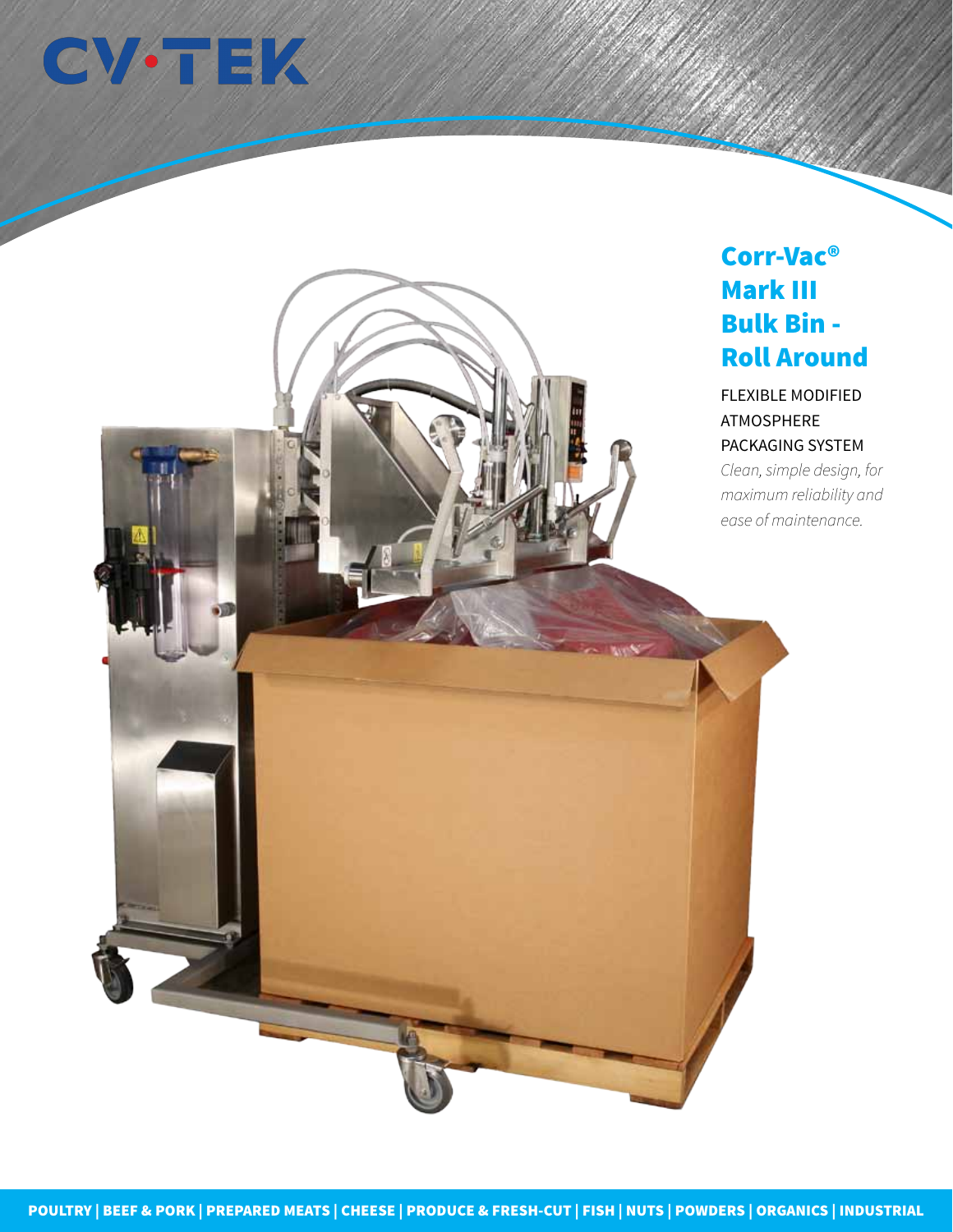

## Corr-Vac® Mark III Bulk Bin - Roll Around

FLEXIBLE MODIFIED ATMOSPHERE PACKAGING SYSTEM

*Clean, simple design, for maximum reliability and ease of maintenance.*